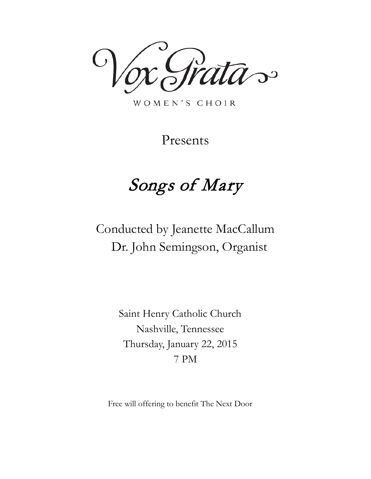$\mathcal{D}^{\mathcal{O}}$ 

WOMEN'S CHOIR

Presents

# Songs of Mary

Conducted by Jeanette MacCallum Dr. John Semingson, Organist

> Saint Henry Catholic Church Nashville, Tennessee Thursday, January 22, 2015 7 PM

Free will offering to benefit The Next Door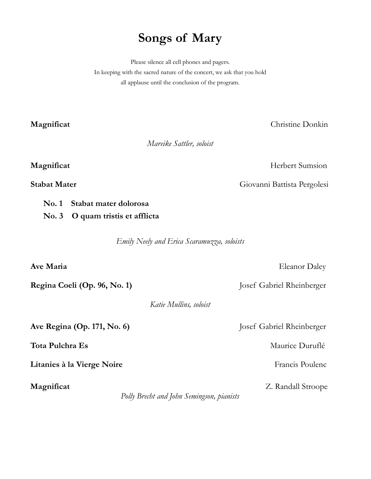## **Songs of Mary**

Please silence all cell phones and pagers. In keeping with the sacred nature of the concert, we ask that you hold all applause until the conclusion of the program.

**Magnificat** Christine Donkin

*Mareike Sattler, soloist*

### **Magnificat** Herbert Sumsion

**Stabat Mater** Giovanni Battista Pergolesi

- **No. 1 Stabat mater dolorosa**
- **No. 3 O quam tristis et afflicta**

*Emily Neely and Erica Scaramuzza, soloists*

| Ave Maria                                               | <b>Eleanor Daley</b>      |
|---------------------------------------------------------|---------------------------|
| Regina Coeli (Op. 96, No. 1)                            | Josef Gabriel Rheinberger |
| Katie Mullins, soloist                                  |                           |
| Ave Regina (Op. 171, No. 6)                             | Josef Gabriel Rheinberger |
| Tota Pulchra Es                                         | Maurice Duruflé           |
| Litanies à la Vierge Noire                              | Francis Poulenc           |
| Magnificat<br>Polly Brecht and John Semingson, pianists | Z. Randall Stroope        |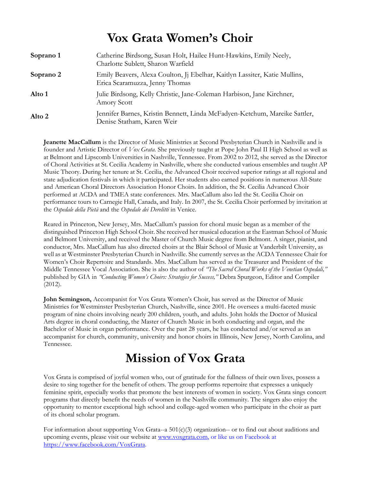## **Vox Grata Women's Choir**

| Soprano 1 | Catherine Birdsong, Susan Holt, Hailee Hunt-Hawkins, Emily Neely,<br>Charlotte Sublett, Sharon Warfield      |
|-----------|--------------------------------------------------------------------------------------------------------------|
| Soprano 2 | Emily Beavers, Alexa Coulton, Ji Ebelhar, Kaitlyn Lassiter, Katie Mullins,<br>Erica Scaramuzza, Jenny Thomas |
| Alto 1    | Julie Birdsong, Kelly Christie, Jane-Coleman Harbison, Jane Kirchner,<br>Amory Scott                         |
| Alto 2    | Jennifer Barnes, Kristin Bennett, Linda McFadyen-Ketchum, Mareike Sattler,<br>Denise Statham, Karen Weir     |

**Jeanette MacCallum** is the Director of Music Ministries at Second Presbyterian Church in Nashville and is founder and Artistic Director of *Vox Grata.* She previously taught at Pope John Paul II High School as well as at Belmont and Lipscomb Universities in Nashville, Tennessee. From 2002 to 2012, she served as the Director of Choral Activities at St. Cecilia Academy in Nashville, where she conducted various ensembles and taught AP Music Theory. During her tenure at St. Cecilia, the Advanced Choir received superior ratings at all regional and state adjudication festivals in which it participated. Her students also earned positions in numerous All-State and American Choral Directors Association Honor Choirs. In addition, the St. Cecilia Advanced Choir performed at ACDA and TMEA state conferences. Mrs. MacCallum also led the St. Cecilia Choir on performance tours to Carnegie Hall, Canada, and Italy. In 2007, the St. Cecilia Choir performed by invitation at the *Ospedale della Pietà* and the *Ospedale dei Derelitti* in Venice.

Reared in Princeton, New Jersey, Mrs. MacCallum's passion for choral music began as a member of the distinguished Princeton High School Choir. She received her musical education at the Eastman School of Music and Belmont University, and received the Master of Church Music degree from Belmont. A singer, pianist, and conductor, Mrs. MacCallum has also directed choirs at the Blair School of Music at Vanderbilt University, as well as at Westminster Presbyterian Church in Nashville. She currently serves as the ACDA Tennessee Chair for Women's Choir Repertoire and Standards. Mrs. MacCallum has served as the Treasurer and President of the Middle Tennessee Vocal Association. She is also the author of *"The Sacred Choral Works of the Venetian Ospedali,"* published by GIA in *"Conducting Women's Choirs: Strategies for Success,"* Debra Spurgeon, Editor and Compiler (2012).

**John Semingson,** Accompanist for Vox Grata Women's Choir, has served as the Director of Music Ministries for Westminster Presbyterian Church, Nashville, since 2001. He oversees a multi-faceted music program of nine choirs involving nearly 200 children, youth, and adults. John holds the Doctor of Musical Arts degree in choral conducting, the Master of Church Music in both conducting and organ, and the Bachelor of Music in organ performance. Over the past 28 years, he has conducted and/or served as an accompanist for church, community, university and honor choirs in Illinois, New Jersey, North Carolina, and Tennessee.

## **Mission of Vox Grata**

Vox Grata is comprised of joyful women who, out of gratitude for the fullness of their own lives, possess a desire to sing together for the benefit of others. The group performs repertoire that expresses a uniquely feminine spirit, especially works that promote the best interests of women in society. Vox Grata sings concert programs that directly benefit the needs of women in the Nashville community. The singers also enjoy the opportunity to mentor exceptional high school and college-aged women who participate in the choir as part of its choral scholar program.

For information about supporting Vox Grata--a  $501(c)(3)$  organization-- or to find out about auditions and upcoming events, please visit our website at [www.voxgrata.com,](http://www.voxgrata.com/) or like us on Facebook at [https://www.facebook.com/VoxGrata.](https://www.facebook.com/VoxGrata)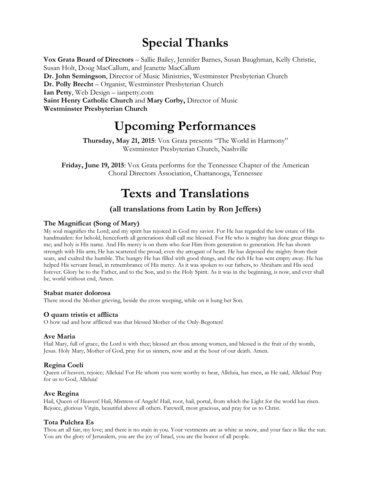## **Special Thanks**

**Vox Grata Board of Directors** – Sallie Bailey, Jennifer Barnes, Susan Baughman, Kelly Christie, Susan Holt, Doug MacCallum, and Jeanette MacCallum **Dr. John Semingson**, Director of Music Ministries, Westminster Presbyterian Church **Dr. Polly Brecht** – Organist, Westminster Presbyterian Church **Ian Petty**, Web Design – ianpetty.com **Saint Henry Catholic Church** and **Mary Corby,** Director of Music **Westminster Presbyterian Church**

## **Upcoming Performances**

**Thursday, May 21, 2015**: Vox Grata presents "The World in Harmony" Westminster Presbyterian Church, Nashville

**Friday, June 19, 2015**: Vox Grata performs for the Tennessee Chapter of the American Choral Directors Association, Chattanooga, Tennessee

## **Texts and Translations**

### **(all translations from Latin by Ron Jeffers)**

### **The Magnificat (Song of Mary)**

My soul magnifies the Lord; and my spirit has rejoiced in God my savior. For He has regarded the low estate of His handmaiden: for behold, henceforth all generations shall call me blessed. For He who is mighty has done great things to me; and holy is His name. And His mercy is on them who fear Him from generation to generation. He has shown strength with His arm; He has scattered the proud, even the arrogant of heart. He has deposed the mighty from their seats, and exalted the humble. The hungry He has filled with good things, and the rich He has sent empty away. He has helped His servant Israel, in remembrance of His mercy. As it was spoken to our fathers, to Abraham and His seed forever. Glory be to the Father, and to the Son, and to the Holy Spirit. As it was in the beginning, is now, and ever shall be, world without end, Amen.

### **Stabat mater dolorosa**

There stood the Mother grieving, beside the cross weeping, while on it hung her Son.

### **O quam tristis et afflicta**

O how sad and how afflicted was that blessed Mother of the Only-Begotten!

### **Ave Maria**

Hail Mary, full of grace, the Lord is with thee; blessed art thou among women, and blessed is the fruit of thy womb, Jesus. Holy Mary, Mother of God, pray for us sinners, now and at the hour of our death. Amen.

### **Regina Coeli**

Queen of heaven, rejoice; Alleluia! For He whom you were worthy to bear, Alleluia, has risen, as He said, Alleluia! Pray for us to God, Alleluia!

### **Ave Regina**

Hail, Queen of Heaven! Hail, Mistress of Angels! Hail, root, hail, portal, from which the Light for the world has risen. Rejoice, glorious Virgin, beautiful above all others. Farewell, most gracious, and pray for us to Christ.

### **Tota Pulchra Es**

Thou art all fair, my love; and there is no stain in you. Your vestments are as white as snow, and your face is like the sun. You are the glory of Jerusalem, you are the joy of Israel, you are the honor of all people.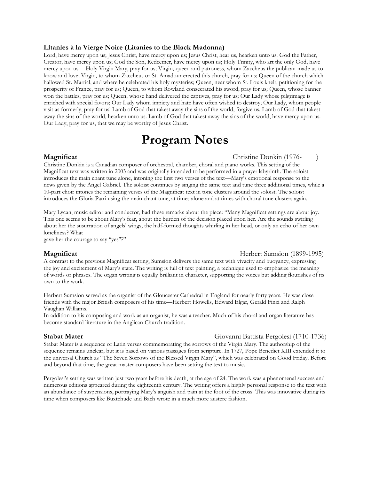### **Litanies à la Vierge Noire (Litanies to the Black Madonna)**

Lord, have mercy upon us; Jesus Christ, have mercy upon us; Jesus Christ, hear us, hearken unto us. God the Father, Creator, have mercy upon us; God the Son, Redeemer, have mercy upon us; Holy Trinity, who art the only God, have mercy upon us. Holy Virgin Mary, pray for us; Virgin, queen and patroness, whom Zaccheus the publican made us to know and love; Virgin, to whom Zaccheus or St. Amadour erected this church, pray for us; Queen of the church which hallowed St. Martial, and where he celebrated his holy mysteries; Queen, near whom St. Louis knelt, petitioning for the prosperity of France, pray for us; Queen, to whom Rowland consecrated his sword, pray for us; Queen, whose banner won the battles, pray for us; Queen, whose hand delivered the captives, pray for us; Our Lady whose pilgrimage is enriched with special favors; Our Lady whom impiety and hate have often wished to destroy; Our Lady, whom people visit as formerly, pray for us! Lamb of God that takest away the sins of the world, forgive us. Lamb of God that takest away the sins of the world, hearken unto us. Lamb of God that takest away the sins of the world, have mercy upon us. Our Lady, pray for us, that we may be worthy of Jesus Christ.

## **Program Notes**

**Magnificat Christian Christian Contract (1976-** )

Christine Donkin is a Canadian composer of orchestral, chamber, choral and piano works. This setting of the Magnificat text was written in 2003 and was originally intended to be performed in a prayer labyrinth. The soloist introduces the main chant tune alone, intoning the first two verses of the text—Mary's emotional response to the news given by the Angel Gabriel. The soloist continues by singing the same text and tune three additional times, while a 10-part choir intones the remaining verses of the Magnificat text in tone clusters around the soloist. The soloist introduces the Gloria Patri using the main chant tune, at times alone and at times with choral tone clusters again.

Mary Lycan, music editor and conductor, had these remarks about the piece: "Many Magnificat settings are about joy. This one seems to be about Mary's fear, about the burden of the decision placed upon her. Are the sounds swirling about her the susurration of angels' wings, the half-formed thoughts whirling in her head, or only an echo of her own loneliness? What

gave her the courage to say "yes"?"

### **Magnificat** Herbert Sumsion (1899-1995)

A contrast to the previous Magnificat setting, Sumsion delivers the same text with vivacity and buoyancy, expressing the joy and excitement of Mary's state. The writing is full of text painting, a technique used to emphasize the meaning of words or phrases. The organ writing is equally brilliant in character, supporting the voices but adding flourishes of its own to the work.

Herbert Sumsion served as the organist of the Gloucester Cathedral in England for nearly forty years. He was close friends with the major British composers of his time—Herbert Howells, Edward Elgar, Gerald Finzi and Ralph Vaughan Williams.

In addition to his composing and work as an organist, he was a teacher. Much of his choral and organ literature has become standard literature in the Anglican Church tradition.

### **Stabat Mater** Giovanni Battista Pergolesi (1710-1736)

Stabat Mater is a sequence of Latin verses commemorating the sorrows of the Virgin Mary. The authorship of the sequence remains unclear, but it is based on various passages from scripture. In 1727, Pope Benedict XIII extended it to the universal Church as "The Seven Sorrows of the Blessed Virgin Mary", which was celebrated on Good Friday. Before and beyond that time, the great master composers have been setting the text to music.

Pergolesi's setting was written just two years before his death, at the age of 24. The work was a phenomenal success and numerous editions appeared during the eighteenth century. The writing offers a highly personal response to the text with an abundance of suspensions, portraying Mary's anguish and pain at the foot of the cross. This was innovative during its time when composers like Buxtehude and Bach wrote in a much more austere fashion.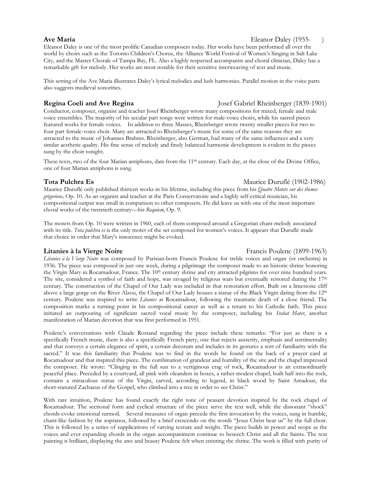### **Ave Maria** Eleanor Daley (1955- )

Eleanor Daley is one of the most prolific Canadian composers today. Her works have been performed all over the world by choirs such as the Toronto Children's Chorus, the Alliance World Festival of Women's Singing in Salt Lake City, and the Master Chorale of Tampa Bay, FL. Also a highly respected accompanist and choral clinician, Daley has a remarkable gift for melody. Her works are most notable for their sensitive interweaving of text and music.

This setting of the Ave Maria illustrates Daley's lyrical melodies and lush harmonies. Parallel motion in the voice parts also suggests medieval sonorities.

Conductor, composer, organist and teacher Josef Rheinberger wrote many compositions for mixed, female and male voice ensembles. The majority of his secular part songs were written for male-voice choirs, while his sacred pieces featured works for female voices. In addition to three Masses, Rheinberger wrote twenty smaller pieces for two to four part female-voice choir. Many are attracted to Rheinberger's music for some of the same reasons they are attracted to the music of Johannes Brahms. Rheinberger, also German, had many of the same influences and a very similar aesthetic quality. His fine sense of melody and finely balanced harmonic development is evident in the pieces sung by the choir tonight.

These texts, two of the four Marian antiphons, date from the 11<sup>th</sup> century. Each day, at the close of the Divine Office, one of four Marian antiphons is sung.

### **Tota Pulchra Es** Maurice Duruflé (1902-1986)

Maurice Duruflé only published thirteen works in his lifetime, including this piece from his *Quatre Motets sur des themes grégoriens,* Op. 10. As an organist and teacher at the Paris Conservatoire and a highly self-critical musician, his compositional output was small in comparison to other composers. He did leave us with one of the most important choral works of the twentieth century—his *Requiem*, Op. 9.

The motets from Op. 10 were written in 1960, each of them composed around a Gregorian chant melody associated with its title. *Tota pulchra es* is the only motet of the set composed for women's voices. It appears that Duruflé made that choice in order that Mary's innocence might be evoked.

*Litanies à la Vierge Noire* was composed by Parisian-born Francis Poulenc for treble voices and organ (or orchestra) in 1936. The piece was composed in just one week, during a pilgrimage the composer made to an historic shrine honoring the Virgin Mary in Rocamadour, France. The 10<sup>th</sup> century shrine and city attracted pilgrims for over nine hundred years. The site, considered a symbol of faith and hope, was ravaged by religious wars but eventually restored during the  $17<sup>th</sup>$ century. The construction of the Chapel of Our Lady was included in that restoration effort. Built on a limestone cliff above a large gorge on the River Alzou, the Chapel of Our Lady houses a statue of the Black Virgin dating from the 12<sup>th</sup> century. Poulenc was inspired to write *Litanies* at Rocamadour, following the traumatic death of a close friend. The composition marks a turning point in his compositional career as well as a return to his Catholic faith. This piece initiated an outpouring of significant sacred vocal music by the composer, including his *Stabat Mater*, another manifestation of Marian devotion that was first performed in 1951.

Poulenc's conversations with Claude Rostand regarding the piece include these remarks: "For just as there is a specifically French music, there is also a specifically French piety, one that rejects austerity, emphasis and sentimentality and that conveys a certain elegance of spirit, a certain decorum and includes in its gestures a sort of familiarity with the sacred." It was this familiarity that Poulenc was to find in the words he found on the back of a prayer card at Rocamadour and that inspired this piece. The combination of grandeur and humility of the site and the chapel impressed the composer. He wrote: "Clinging in the full sun to a vertiginous crag of rock, Rocamadour is an extraordinarily peaceful place. Preceded by a courtyard, all pink with oleanders in boxes, a rather modest chapel, built half into the rock, contains a miraculous statue of the Virgin, carved, according to legend, in black wood by Saint Amadour, the short-statured Zachaeus of the Gospel, who climbed into a tree in order to see Christ."

With rare intuition, Poulenc has found exactly the right tone of peasant devotion inspired by the rock chapel of Rocamadour. The sectional form and cyclical structure of the piece serve the text well, while the dissonant "shock" chords evoke emotional turmoil. Several measures of organ precede the first invocation by the voices, sung in humble, chant-like fashion by the sopranos, followed by a brief crescendo on the words "Jesus Christ hear us" by the full choir. This is followed by a series of supplications of varying texture and weight. The piece builds in power and scope as the voices and ever expanding chords in the organ accompaniment continue to beseech Christ and all the Saints. The text painting is brilliant, displaying the awe and beauty Poulenc felt when entering the shrine. The work is filled with purity of

### **Litanies à la Vierge Noire Francis Poulenc (1899-1963)** Francis Poulenc (1899-1963)

### **Regina Coeli and Ave Regina** Josef Gabriel Rheinberger (1839-1901)